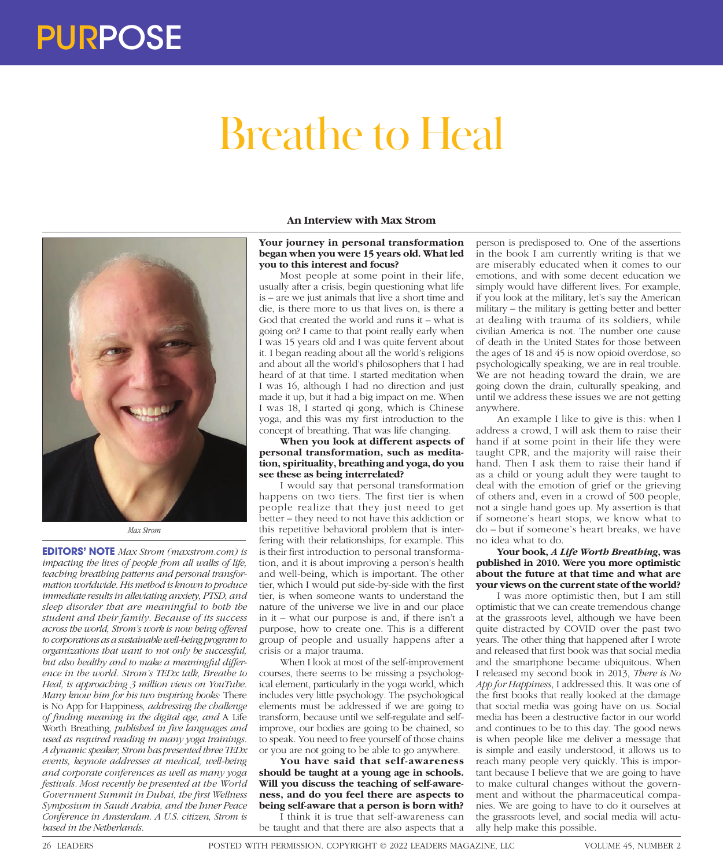# Breathe to Heal



*Max Strom*

**EDITORS' NOTE** *Max Strom (maxstrom.com) is impacting the lives of people from all walks of life, teaching breathing patterns and personal transformation worldwide. His method is known to produce immediate results in alleviating anxiety, PTSD, and sleep disorder that are meaningful to both the student and their family. Because of its success across the world, Strom's work is now being offered to corporations as a sustainable well-being program to organizations that want to not only be successful, but also healthy and to make a meaningful difference in the world. Strom's TEDx talk, Breathe to Heal, is approaching 3 million views on YouTube. Many know him for his two inspiring books:* There is No App for Happiness*, addressing the challenge of finding meaning in the digital age, and* A Life Worth Breathing*, published in five languages and used as required reading in many yoga trainings. A dynamic speaker, Strom has presented three TEDx events, keynote addresses at medical, well-being and corporate conferences as well as many yoga festivals. Most recently he presented at the World Government Summit in Dubai, the first Wellness Symposium in Saudi Arabia, and the Inner Peace Conference in Amsterdam. A U.S. citizen, Strom is based in the Netherlands.*

### **An Interview with Max Strom**

### **Your journey in personal transformation began when you were 15 years old. What led you to this interest and focus?**

Most people at some point in their life, usually after a crisis, begin questioning what life is – are we just animals that live a short time and die, is there more to us that lives on, is there a God that created the world and runs it – what is going on? I came to that point really early when I was 15 years old and I was quite fervent about it. I began reading about all the world's religions and about all the world's philosophers that I had heard of at that time. I started meditation when I was 16, although I had no direction and just made it up, but it had a big impact on me. When I was 18, I started qi gong, which is Chinese yoga, and this was my first introduction to the concept of breathing. That was life changing.

**When you look at different aspects of personal transformation, such as meditation, spirituality, breathing and yoga, do you see these as being interrelated?**

I would say that personal transformation happens on two tiers. The first tier is when people realize that they just need to get better – they need to not have this addiction or this repetitive behavioral problem that is interfering with their relationships, for example. This is their first introduction to personal transformation, and it is about improving a person's health and well-being, which is important. The other tier, which I would put side-by-side with the first tier, is when someone wants to understand the nature of the universe we live in and our place in it – what our purpose is and, if there isn't a purpose, how to create one. This is a different group of people and usually happens after a crisis or a major trauma.

When I look at most of the self-improvement courses, there seems to be missing a psychological element, particularly in the yoga world, which includes very little psychology. The psychological elements must be addressed if we are going to transform, because until we self-regulate and selfimprove, our bodies are going to be chained, so to speak. You need to free yourself of those chains or you are not going to be able to go anywhere.

**You have said that self-awareness should be taught at a young age in schools. Will you discuss the teaching of self-awareness, and do you feel there are aspects to being self-aware that a person is born with?**

I think it is true that self-awareness can be taught and that there are also aspects that a

person is predisposed to. One of the assertions in the book I am currently writing is that we are miserably educated when it comes to our emotions, and with some decent education we simply would have different lives. For example, if you look at the military, let's say the American military – the military is getting better and better at dealing with trauma of its soldiers, while civilian America is not. The number one cause of death in the United States for those between the ages of 18 and 45 is now opioid overdose, so psychologically speaking, we are in real trouble. We are not heading toward the drain, we are going down the drain, culturally speaking, and until we address these issues we are not getting anywhere.

An example I like to give is this: when I address a crowd, I will ask them to raise their hand if at some point in their life they were taught CPR, and the majority will raise their hand. Then I ask them to raise their hand if as a child or young adult they were taught to deal with the emotion of grief or the grieving of others and, even in a crowd of 500 people, not a single hand goes up. My assertion is that if someone's heart stops, we know what to do – but if someone's heart breaks, we have no idea what to do.

# **Your book,** *A Life Worth Breathing***, was published in 2010. Were you more optimistic about the future at that time and what are your views on the current state of the world?**

I was more optimistic then, but I am still optimistic that we can create tremendous change at the grassroots level, although we have been quite distracted by COVID over the past two years. The other thing that happened after I wrote and released that first book was that social media and the smartphone became ubiquitous. When I released my second book in 2013, *There is No App for Happiness*, I addressed this. It was one of the first books that really looked at the damage that social media was going have on us. Social media has been a destructive factor in our world and continues to be to this day. The good news is when people like me deliver a message that is simple and easily understood, it allows us to reach many people very quickly. This is important because I believe that we are going to have to make cultural changes without the government and without the pharmaceutical companies. We are going to have to do it ourselves at the grassroots level, and social media will actually help make this possible.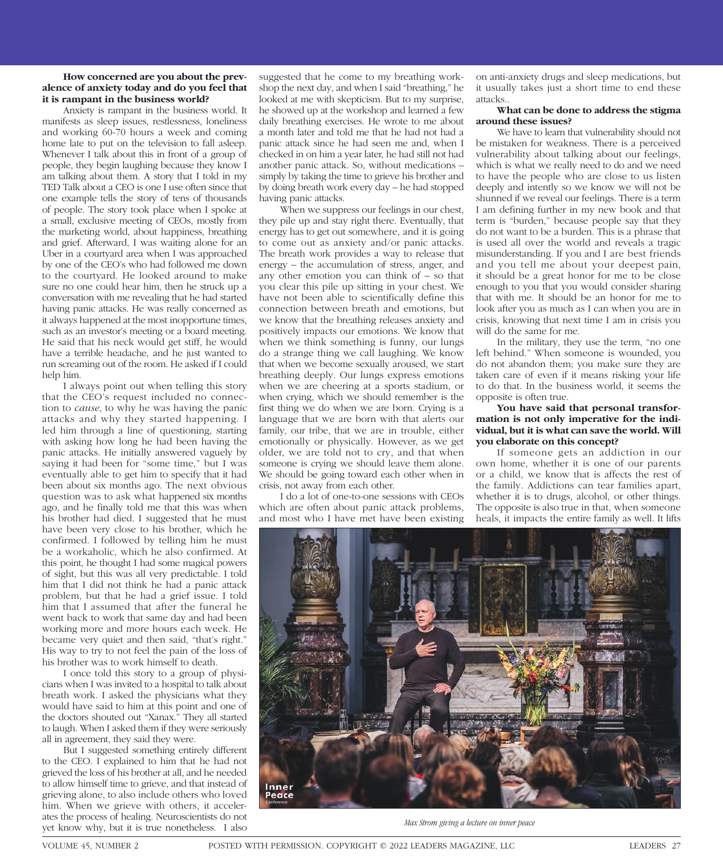### **How concerned are you about the prevalence of anxiety today and do you feel that it is rampant in the business world?**

Anxiety is rampant in the business world. It manifests as sleep issues, restlessness, loneliness and working 60-70 hours a week and coming home late to put on the television to fall asleep. Whenever I talk about this in front of a group of people, they begin laughing because they know I am talking about them. A story that I told in my TED Talk about a CEO is one I use often since that one example tells the story of tens of thousands of people. The story took place when I spoke at a small, exclusive meeting of CEOs, mostly from the marketing world, about happiness, breathing and grief. Afterward, I was waiting alone for an Uber in a courtyard area when I was approached by one of the CEO's who had followed me down to the courtyard. He looked around to make sure no one could hear him, then he struck up a conversation with me revealing that he had started having panic attacks. He was really concerned as it always happened at the most inopportune times, such as an investor's meeting or a board meeting. He said that his neck would get stiff, he would have a terrible headache, and he just wanted to run screaming out of the room. He asked if I could help him.

I always point out when telling this story that the CEO's request included no connection to *cause*, to why he was having the panic attacks and why they started happening. I led him through a line of questioning, starting with asking how long he had been having the panic attacks. He initially answered vaguely by saying it had been for "some time," but I was eventually able to get him to specify that it had been about six months ago. The next obvious question was to ask what happened six months ago, and he finally told me that this was when his brother had died. I suggested that he must have been very close to his brother, which he confirmed. I followed by telling him he must be a workaholic, which he also confirmed. At this point, he thought I had some magical powers of sight, but this was all very predictable. I told him that I did not think he had a panic attack problem, but that he had a grief issue. I told him that I assumed that after the funeral he went back to work that same day and had been working more and more hours each week. He became very quiet and then said, "that's right." His way to try to not feel the pain of the loss of his brother was to work himself to death.

I once told this story to a group of physicians when I was invited to a hospital to talk about breath work. I asked the physicians what they would have said to him at this point and one of the doctors shouted out "Xanax." They all started to laugh. When I asked them if they were seriously all in agreement, they said they were.

But I suggested something entirely different to the CEO. I explained to him that he had not grieved the loss of his brother at all, and he needed to allow himself time to grieve, and that instead of grieving alone, to also include others who loved him. When we grieve with others, it accelerates the process of healing. Neuroscientists do not yet know why, but it is true nonetheless. I also

suggested that he come to my breathing workshop the next day, and when I said "breathing," he looked at me with skepticism. But to my surprise, he showed up at the workshop and learned a few daily breathing exercises. He wrote to me about a month later and told me that he had not had a panic attack since he had seen me and, when I checked in on him a year later, he had still not had another panic attack. So, without medications – simply by taking the time to grieve his brother and by doing breath work every day – he had stopped having panic attacks.

When we suppress our feelings in our chest, they pile up and stay right there. Eventually, that energy has to get out somewhere, and it is going to come out as anxiety and/or panic attacks. The breath work provides a way to release that energy – the accumulation of stress, anger, and any other emotion you can think of – so that you clear this pile up sitting in your chest. We have not been able to scientifically define this connection between breath and emotions, but we know that the breathing releases anxiety and positively impacts our emotions. We know that when we think something is funny, our lungs do a strange thing we call laughing. We know that when we become sexually aroused, we start breathing deeply. Our lungs express emotions when we are cheering at a sports stadium, or when crying, which we should remember is the first thing we do when we are born. Crying is a language that we are born with that alerts our family, our tribe, that we are in trouble, either emotionally or physically. However, as we get older, we are told not to cry, and that when someone is crying we should leave them alone. We should be going toward each other when in crisis, not away from each other.

I do a lot of one-to-one sessions with CEOs which are often about panic attack problems, and most who I have met have been existing on anti-anxiety drugs and sleep medications, but it usually takes just a short time to end these attacks..

## **What can be done to address the stigma around these issues?**

We have to learn that vulnerability should not be mistaken for weakness. There is a perceived vulnerability about talking about our feelings, which is what we really need to do and we need to have the people who are close to us listen deeply and intently so we know we will not be shunned if we reveal our feelings. There is a term I am defining further in my new book and that term is "burden," because people say that they do not want to be a burden. This is a phrase that is used all over the world and reveals a tragic misunderstanding. If you and I are best friends and you tell me about your deepest pain, it should be a great honor for me to be close enough to you that you would consider sharing that with me. It should be an honor for me to look after you as much as I can when you are in crisis, knowing that next time I am in crisis you will do the same for me.

In the military, they use the term, "no one left behind." When someone is wounded, you do not abandon them; you make sure they are taken care of even if it means risking your life to do that. In the business world, it seems the opposite is often true.

# **You have said that personal transformation is not only imperative for the individual, but it is what can save the world. Will you elaborate on this concept?**

If someone gets an addiction in our own home, whether it is one of our parents or a child, we know that is affects the rest of the family. Addictions can tear families apart, whether it is to drugs, alcohol, or other things. The opposite is also true in that, when someone heals, it impacts the entire family as well. It lifts



*Max Strom giving a lecture on inner peace*